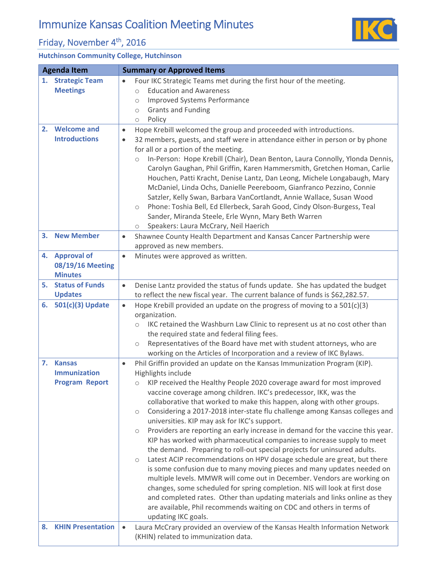## Immunize Kansas Coalition Meeting Minutes

## Friday, November 4<sup>th</sup>, 2016

## **Hutchinson Community College, Hutchinson**

| <b>Agenda Item</b> |                                                          | <b>Summary or Approved Items</b>                                                                                                                                                                                                                                                                                                                                                                                                                                                                                                                                                                                                                                                                                                                                                                                                                 |
|--------------------|----------------------------------------------------------|--------------------------------------------------------------------------------------------------------------------------------------------------------------------------------------------------------------------------------------------------------------------------------------------------------------------------------------------------------------------------------------------------------------------------------------------------------------------------------------------------------------------------------------------------------------------------------------------------------------------------------------------------------------------------------------------------------------------------------------------------------------------------------------------------------------------------------------------------|
| 1.                 | <b>Strategic Team</b><br><b>Meetings</b>                 | Four IKC Strategic Teams met during the first hour of the meeting.<br>$\bullet$<br><b>Education and Awareness</b><br>$\circ$<br><b>Improved Systems Performance</b><br>$\circ$                                                                                                                                                                                                                                                                                                                                                                                                                                                                                                                                                                                                                                                                   |
|                    |                                                          | <b>Grants and Funding</b><br>$\bigcirc$<br>Policy<br>$\circ$                                                                                                                                                                                                                                                                                                                                                                                                                                                                                                                                                                                                                                                                                                                                                                                     |
| 2.                 | <b>Welcome and</b><br><b>Introductions</b>               | Hope Krebill welcomed the group and proceeded with introductions.<br>$\bullet$<br>32 members, guests, and staff were in attendance either in person or by phone<br>$\bullet$<br>for all or a portion of the meeting.<br>In-Person: Hope Krebill (Chair), Dean Benton, Laura Connolly, Ylonda Dennis,<br>$\circ$<br>Carolyn Gaughan, Phil Griffin, Karen Hammersmith, Gretchen Homan, Carlie<br>Houchen, Patti Kracht, Denise Lantz, Dan Leong, Michele Longabaugh, Mary<br>McDaniel, Linda Ochs, Danielle Peereboom, Gianfranco Pezzino, Connie<br>Satzler, Kelly Swan, Barbara VanCortlandt, Annie Wallace, Susan Wood<br>Phone: Toshia Bell, Ed Ellerbeck, Sarah Good, Cindy Olson-Burgess, Teal<br>$\circlearrowright$<br>Sander, Miranda Steele, Erle Wynn, Mary Beth Warren<br>Speakers: Laura McCrary, Neil Haerich<br>$\circlearrowright$ |
| 3.                 | <b>New Member</b>                                        | Shawnee County Health Department and Kansas Cancer Partnership were<br>$\bullet$<br>approved as new members.                                                                                                                                                                                                                                                                                                                                                                                                                                                                                                                                                                                                                                                                                                                                     |
| 4.                 | <b>Approval of</b><br>08/19/16 Meeting<br><b>Minutes</b> | Minutes were approved as written.<br>$\bullet$                                                                                                                                                                                                                                                                                                                                                                                                                                                                                                                                                                                                                                                                                                                                                                                                   |
| 5.                 | <b>Status of Funds</b>                                   | Denise Lantz provided the status of funds update. She has updated the budget<br>$\bullet$                                                                                                                                                                                                                                                                                                                                                                                                                                                                                                                                                                                                                                                                                                                                                        |
|                    | <b>Updates</b><br>6. 501(c)(3) Update                    | to reflect the new fiscal year. The current balance of funds is \$62,282.57.<br>Hope Krebill provided an update on the progress of moving to a 501(c)(3)<br>$\bullet$                                                                                                                                                                                                                                                                                                                                                                                                                                                                                                                                                                                                                                                                            |
|                    |                                                          | organization.                                                                                                                                                                                                                                                                                                                                                                                                                                                                                                                                                                                                                                                                                                                                                                                                                                    |
|                    |                                                          | IKC retained the Washburn Law Clinic to represent us at no cost other than<br>$\circ$                                                                                                                                                                                                                                                                                                                                                                                                                                                                                                                                                                                                                                                                                                                                                            |
|                    |                                                          | the required state and federal filing fees.                                                                                                                                                                                                                                                                                                                                                                                                                                                                                                                                                                                                                                                                                                                                                                                                      |
|                    |                                                          | Representatives of the Board have met with student attorneys, who are<br>$\circlearrowright$<br>working on the Articles of Incorporation and a review of IKC Bylaws.                                                                                                                                                                                                                                                                                                                                                                                                                                                                                                                                                                                                                                                                             |
|                    | 7. Kansas                                                | Phil Griffin provided an update on the Kansas Immunization Program (KIP).<br>$\bullet$                                                                                                                                                                                                                                                                                                                                                                                                                                                                                                                                                                                                                                                                                                                                                           |
|                    | <b>Immunization</b>                                      | Highlights include                                                                                                                                                                                                                                                                                                                                                                                                                                                                                                                                                                                                                                                                                                                                                                                                                               |
|                    | <b>Program Report</b>                                    | KIP received the Healthy People 2020 coverage award for most improved<br>$\circ$                                                                                                                                                                                                                                                                                                                                                                                                                                                                                                                                                                                                                                                                                                                                                                 |
|                    |                                                          | vaccine coverage among children. IKC's predecessor, IKK, was the                                                                                                                                                                                                                                                                                                                                                                                                                                                                                                                                                                                                                                                                                                                                                                                 |
|                    |                                                          | collaborative that worked to make this happen, along with other groups.<br>Considering a 2017-2018 inter-state flu challenge among Kansas colleges and<br>$\circlearrowright$<br>universities. KIP may ask for IKC's support.                                                                                                                                                                                                                                                                                                                                                                                                                                                                                                                                                                                                                    |
|                    |                                                          | Providers are reporting an early increase in demand for the vaccine this year.<br>$\circ$                                                                                                                                                                                                                                                                                                                                                                                                                                                                                                                                                                                                                                                                                                                                                        |
|                    |                                                          | KIP has worked with pharmaceutical companies to increase supply to meet<br>the demand. Preparing to roll-out special projects for uninsured adults.                                                                                                                                                                                                                                                                                                                                                                                                                                                                                                                                                                                                                                                                                              |
|                    |                                                          | Latest ACIP recommendations on HPV dosage schedule are great, but there<br>$\circlearrowright$                                                                                                                                                                                                                                                                                                                                                                                                                                                                                                                                                                                                                                                                                                                                                   |
|                    |                                                          | is some confusion due to many moving pieces and many updates needed on                                                                                                                                                                                                                                                                                                                                                                                                                                                                                                                                                                                                                                                                                                                                                                           |
|                    |                                                          | multiple levels. MMWR will come out in December. Vendors are working on<br>changes, some scheduled for spring completion. NIS will look at first dose                                                                                                                                                                                                                                                                                                                                                                                                                                                                                                                                                                                                                                                                                            |
|                    |                                                          | and completed rates. Other than updating materials and links online as they                                                                                                                                                                                                                                                                                                                                                                                                                                                                                                                                                                                                                                                                                                                                                                      |
|                    |                                                          | are available, Phil recommends waiting on CDC and others in terms of                                                                                                                                                                                                                                                                                                                                                                                                                                                                                                                                                                                                                                                                                                                                                                             |
|                    |                                                          | updating IKC goals.                                                                                                                                                                                                                                                                                                                                                                                                                                                                                                                                                                                                                                                                                                                                                                                                                              |
| 8.                 | <b>KHIN Presentation</b>                                 | Laura McCrary provided an overview of the Kansas Health Information Network<br>$\bullet$                                                                                                                                                                                                                                                                                                                                                                                                                                                                                                                                                                                                                                                                                                                                                         |
|                    |                                                          | (KHIN) related to immunization data.                                                                                                                                                                                                                                                                                                                                                                                                                                                                                                                                                                                                                                                                                                                                                                                                             |